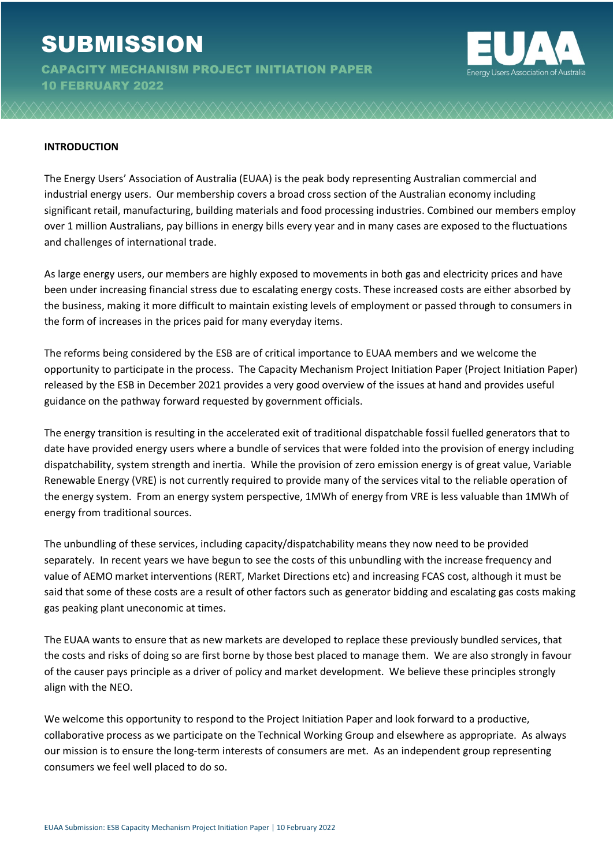# **SUBMISSION**

CAPACITY MECHANISM PROJECT INITIATION PAPER 10 FEBRUARY 2022



#### **INTRODUCTION**

The Energy Users' Association of Australia (EUAA) is the peak body representing Australian commercial and industrial energy users. Our membership covers a broad cross section of the Australian economy including significant retail, manufacturing, building materials and food processing industries. Combined our members employ over 1 million Australians, pay billions in energy bills every year and in many cases are exposed to the fluctuations and challenges of international trade.

As large energy users, our members are highly exposed to movements in both gas and electricity prices and have been under increasing financial stress due to escalating energy costs. These increased costs are either absorbed by the business, making it more difficult to maintain existing levels of employment or passed through to consumers in the form of increases in the prices paid for many everyday items.

The reforms being considered by the ESB are of critical importance to EUAA members and we welcome the opportunity to participate in the process. The Capacity Mechanism Project Initiation Paper (Project Initiation Paper) released by the ESB in December 2021 provides a very good overview of the issues at hand and provides useful guidance on the pathway forward requested by government officials.

The energy transition is resulting in the accelerated exit of traditional dispatchable fossil fuelled generators that to date have provided energy users where a bundle of services that were folded into the provision of energy including dispatchability, system strength and inertia. While the provision of zero emission energy is of great value, Variable Renewable Energy (VRE) is not currently required to provide many of the services vital to the reliable operation of the energy system. From an energy system perspective, 1MWh of energy from VRE is less valuable than 1MWh of energy from traditional sources.

The unbundling of these services, including capacity/dispatchability means they now need to be provided separately. In recent years we have begun to see the costs of this unbundling with the increase frequency and value of AEMO market interventions (RERT, Market Directions etc) and increasing FCAS cost, although it must be said that some of these costs are a result of other factors such as generator bidding and escalating gas costs making gas peaking plant uneconomic at times.

The EUAA wants to ensure that as new markets are developed to replace these previously bundled services, that the costs and risks of doing so are first borne by those best placed to manage them. We are also strongly in favour of the causer pays principle as a driver of policy and market development. We believe these principles strongly align with the NEO.

We welcome this opportunity to respond to the Project Initiation Paper and look forward to a productive, collaborative process as we participate on the Technical Working Group and elsewhere as appropriate. As always our mission is to ensure the long-term interests of consumers are met. As an independent group representing consumers we feel well placed to do so.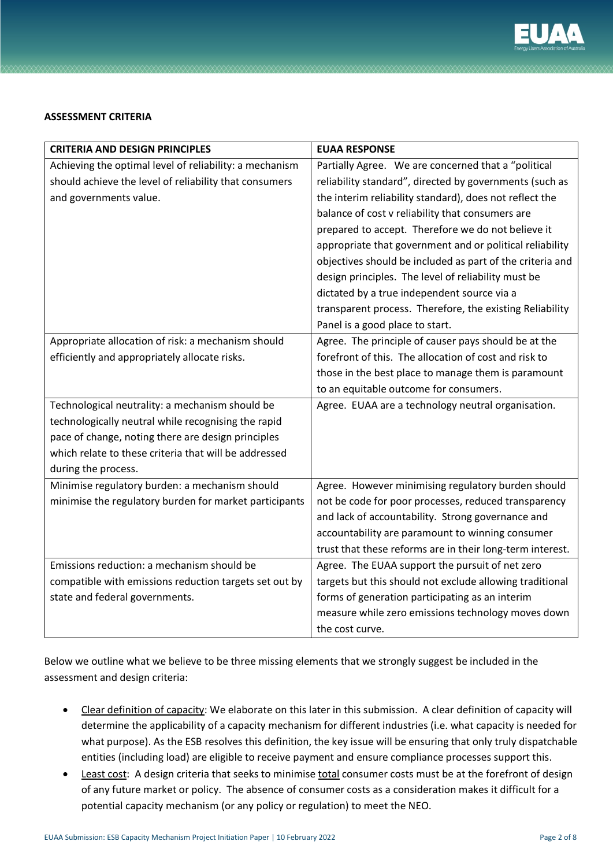

## **ASSESSMENT CRITERIA**

| <b>CRITERIA AND DESIGN PRINCIPLES</b>                   | <b>EUAA RESPONSE</b>                                      |
|---------------------------------------------------------|-----------------------------------------------------------|
| Achieving the optimal level of reliability: a mechanism | Partially Agree. We are concerned that a "political       |
| should achieve the level of reliability that consumers  | reliability standard", directed by governments (such as   |
| and governments value.                                  | the interim reliability standard), does not reflect the   |
|                                                         | balance of cost v reliability that consumers are          |
|                                                         | prepared to accept. Therefore we do not believe it        |
|                                                         | appropriate that government and or political reliability  |
|                                                         | objectives should be included as part of the criteria and |
|                                                         | design principles. The level of reliability must be       |
|                                                         | dictated by a true independent source via a               |
|                                                         | transparent process. Therefore, the existing Reliability  |
|                                                         | Panel is a good place to start.                           |
| Appropriate allocation of risk: a mechanism should      | Agree. The principle of causer pays should be at the      |
| efficiently and appropriately allocate risks.           | forefront of this. The allocation of cost and risk to     |
|                                                         | those in the best place to manage them is paramount       |
|                                                         | to an equitable outcome for consumers.                    |
| Technological neutrality: a mechanism should be         | Agree. EUAA are a technology neutral organisation.        |
| technologically neutral while recognising the rapid     |                                                           |
| pace of change, noting there are design principles      |                                                           |
| which relate to these criteria that will be addressed   |                                                           |
| during the process.                                     |                                                           |
| Minimise regulatory burden: a mechanism should          | Agree. However minimising regulatory burden should        |
| minimise the regulatory burden for market participants  | not be code for poor processes, reduced transparency      |
|                                                         | and lack of accountability. Strong governance and         |
|                                                         | accountability are paramount to winning consumer          |
|                                                         | trust that these reforms are in their long-term interest. |
| Emissions reduction: a mechanism should be              | Agree. The EUAA support the pursuit of net zero           |
| compatible with emissions reduction targets set out by  | targets but this should not exclude allowing traditional  |
| state and federal governments.                          | forms of generation participating as an interim           |
|                                                         | measure while zero emissions technology moves down        |
|                                                         | the cost curve.                                           |

Below we outline what we believe to be three missing elements that we strongly suggest be included in the assessment and design criteria:

- Clear definition of capacity: We elaborate on this later in this submission. A clear definition of capacity will determine the applicability of a capacity mechanism for different industries (i.e. what capacity is needed for what purpose). As the ESB resolves this definition, the key issue will be ensuring that only truly dispatchable entities (including load) are eligible to receive payment and ensure compliance processes support this.
- Least cost: A design criteria that seeks to minimise total consumer costs must be at the forefront of design of any future market or policy. The absence of consumer costs as a consideration makes it difficult for a potential capacity mechanism (or any policy or regulation) to meet the NEO.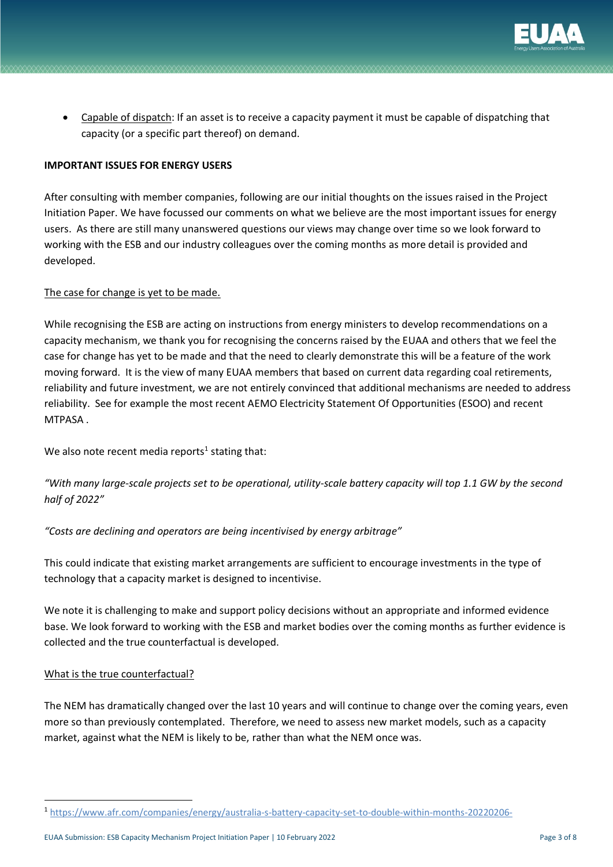

• Capable of dispatch: If an asset is to receive a capacity payment it must be capable of dispatching that capacity (or a specific part thereof) on demand.

## **IMPORTANT ISSUES FOR ENERGY USERS**

After consulting with member companies, following are our initial thoughts on the issues raised in the Project Initiation Paper. We have focussed our comments on what we believe are the most important issues for energy users. As there are still many unanswered questions our views may change over time so we look forward to working with the ESB and our industry colleagues over the coming months as more detail is provided and developed.

## The case for change is yet to be made.

While recognising the ESB are acting on instructions from energy ministers to develop recommendations on a capacity mechanism, we thank you for recognising the concerns raised by the EUAA and others that we feel the case for change has yet to be made and that the need to clearly demonstrate this will be a feature of the work moving forward. It is the view of many EUAA members that based on current data regarding coal retirements, reliability and future investment, we are not entirely convinced that additional mechanisms are needed to address reliability. See for example the most recent AEMO Electricity Statement Of Opportunities (ESOO) and recent MTPASA .

We also note recent media reports<sup>1</sup> stating that:

*"With many large-scale projects set to be operational, utility-scale battery capacity will top 1.1 GW by the second half of 2022"*

*"Costs are declining and operators are being incentivised by energy arbitrage"*

This could indicate that existing market arrangements are sufficient to encourage investments in the type of technology that a capacity market is designed to incentivise.

We note it is challenging to make and support policy decisions without an appropriate and informed evidence base. We look forward to working with the ESB and market bodies over the coming months as further evidence is collected and the true counterfactual is developed.

## What is the true counterfactual?

The NEM has dramatically changed over the last 10 years and will continue to change over the coming years, even more so than previously contemplated. Therefore, we need to assess new market models, such as a capacity market, against what the NEM is likely to be, rather than what the NEM once was.

 <sup>1</sup> https://www.afr.com/companies/energy/australia-s-battery-capacity-set-to-double-within-months-20220206-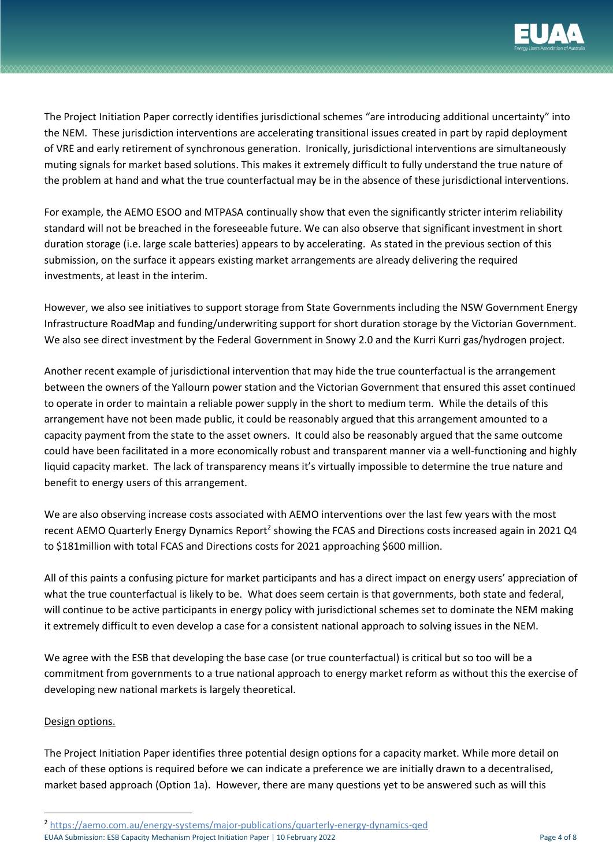

The Project Initiation Paper correctly identifies jurisdictional schemes "are introducing additional uncertainty" into the NEM. These jurisdiction interventions are accelerating transitional issues created in part by rapid deployment of VRE and early retirement of synchronous generation. Ironically, jurisdictional interventions are simultaneously muting signals for market based solutions. This makes it extremely difficult to fully understand the true nature of the problem at hand and what the true counterfactual may be in the absence of these jurisdictional interventions.

For example, the AEMO ESOO and MTPASA continually show that even the significantly stricter interim reliability standard will not be breached in the foreseeable future. We can also observe that significant investment in short duration storage (i.e. large scale batteries) appears to by accelerating. As stated in the previous section of this submission, on the surface it appears existing market arrangements are already delivering the required investments, at least in the interim.

However, we also see initiatives to support storage from State Governments including the NSW Government Energy Infrastructure RoadMap and funding/underwriting support for short duration storage by the Victorian Government. We also see direct investment by the Federal Government in Snowy 2.0 and the Kurri Kurri gas/hydrogen project.

Another recent example of jurisdictional intervention that may hide the true counterfactual is the arrangement between the owners of the Yallourn power station and the Victorian Government that ensured this asset continued to operate in order to maintain a reliable power supply in the short to medium term. While the details of this arrangement have not been made public, it could be reasonably argued that this arrangement amounted to a capacity payment from the state to the asset owners. It could also be reasonably argued that the same outcome could have been facilitated in a more economically robust and transparent manner via a well-functioning and highly liquid capacity market. The lack of transparency means it's virtually impossible to determine the true nature and benefit to energy users of this arrangement.

We are also observing increase costs associated with AEMO interventions over the last few years with the most recent AEMO Quarterly Energy Dynamics Report<sup>2</sup> showing the FCAS and Directions costs increased again in 2021 Q4 to \$181million with total FCAS and Directions costs for 2021 approaching \$600 million.

All of this paints a confusing picture for market participants and has a direct impact on energy users' appreciation of what the true counterfactual is likely to be. What does seem certain is that governments, both state and federal, will continue to be active participants in energy policy with jurisdictional schemes set to dominate the NEM making it extremely difficult to even develop a case for a consistent national approach to solving issues in the NEM.

We agree with the ESB that developing the base case (or true counterfactual) is critical but so too will be a commitment from governments to a true national approach to energy market reform as without this the exercise of developing new national markets is largely theoretical.

# Design options.

The Project Initiation Paper identifies three potential design options for a capacity market. While more detail on each of these options is required before we can indicate a preference we are initially drawn to a decentralised, market based approach (Option 1a). However, there are many questions yet to be answered such as will this

 <sup>2</sup> https://aemo.com.au/energy-systems/major-publications/quarterly-energy-dynamics-qed

EUAA Submission: ESB Capacity Mechanism Project Initiation Paper | 10 February 2022 Page 4 of 8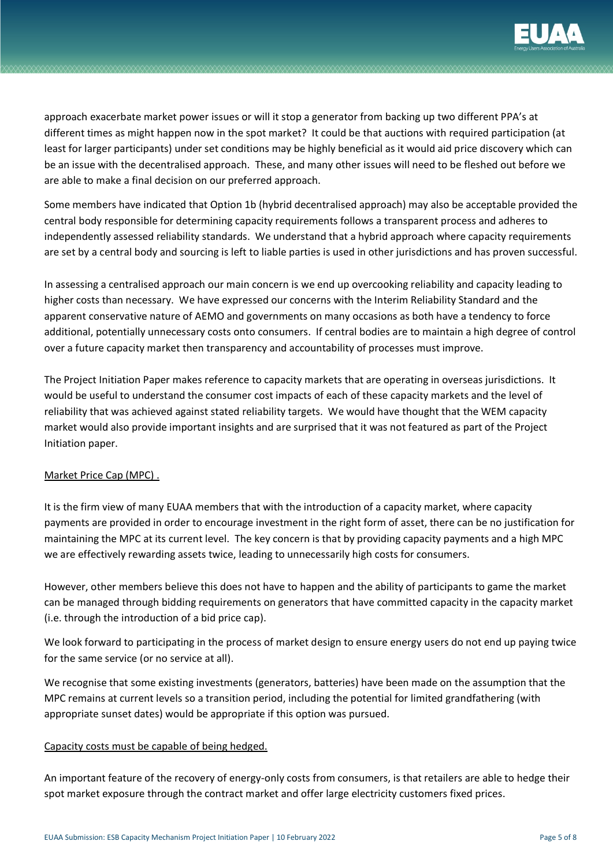

approach exacerbate market power issues or will it stop a generator from backing up two different PPA's at different times as might happen now in the spot market? It could be that auctions with required participation (at least for larger participants) under set conditions may be highly beneficial as it would aid price discovery which can be an issue with the decentralised approach. These, and many other issues will need to be fleshed out before we are able to make a final decision on our preferred approach.

Some members have indicated that Option 1b (hybrid decentralised approach) may also be acceptable provided the central body responsible for determining capacity requirements follows a transparent process and adheres to independently assessed reliability standards. We understand that a hybrid approach where capacity requirements are set by a central body and sourcing is left to liable parties is used in other jurisdictions and has proven successful.

In assessing a centralised approach our main concern is we end up overcooking reliability and capacity leading to higher costs than necessary. We have expressed our concerns with the Interim Reliability Standard and the apparent conservative nature of AEMO and governments on many occasions as both have a tendency to force additional, potentially unnecessary costs onto consumers. If central bodies are to maintain a high degree of control over a future capacity market then transparency and accountability of processes must improve.

The Project Initiation Paper makes reference to capacity markets that are operating in overseas jurisdictions. It would be useful to understand the consumer cost impacts of each of these capacity markets and the level of reliability that was achieved against stated reliability targets. We would have thought that the WEM capacity market would also provide important insights and are surprised that it was not featured as part of the Project Initiation paper.

# Market Price Cap (MPC) .

It is the firm view of many EUAA members that with the introduction of a capacity market, where capacity payments are provided in order to encourage investment in the right form of asset, there can be no justification for maintaining the MPC at its current level. The key concern is that by providing capacity payments and a high MPC we are effectively rewarding assets twice, leading to unnecessarily high costs for consumers.

However, other members believe this does not have to happen and the ability of participants to game the market can be managed through bidding requirements on generators that have committed capacity in the capacity market (i.e. through the introduction of a bid price cap).

We look forward to participating in the process of market design to ensure energy users do not end up paying twice for the same service (or no service at all).

We recognise that some existing investments (generators, batteries) have been made on the assumption that the MPC remains at current levels so a transition period, including the potential for limited grandfathering (with appropriate sunset dates) would be appropriate if this option was pursued.

## Capacity costs must be capable of being hedged.

An important feature of the recovery of energy-only costs from consumers, is that retailers are able to hedge their spot market exposure through the contract market and offer large electricity customers fixed prices.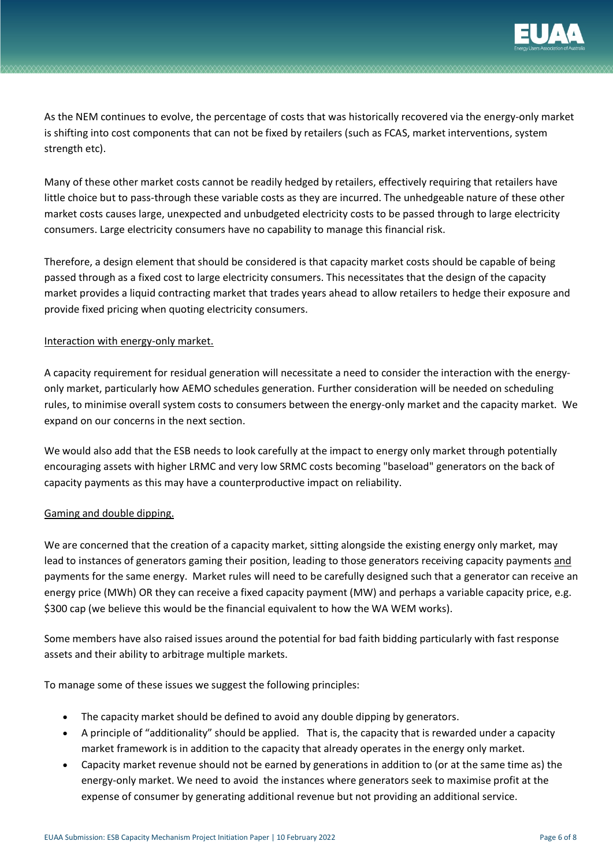

As the NEM continues to evolve, the percentage of costs that was historically recovered via the energy-only market is shifting into cost components that can not be fixed by retailers (such as FCAS, market interventions, system strength etc).

Many of these other market costs cannot be readily hedged by retailers, effectively requiring that retailers have little choice but to pass-through these variable costs as they are incurred. The unhedgeable nature of these other market costs causes large, unexpected and unbudgeted electricity costs to be passed through to large electricity consumers. Large electricity consumers have no capability to manage this financial risk.

Therefore, a design element that should be considered is that capacity market costs should be capable of being passed through as a fixed cost to large electricity consumers. This necessitates that the design of the capacity market provides a liquid contracting market that trades years ahead to allow retailers to hedge their exposure and provide fixed pricing when quoting electricity consumers.

## Interaction with energy-only market.

A capacity requirement for residual generation will necessitate a need to consider the interaction with the energyonly market, particularly how AEMO schedules generation. Further consideration will be needed on scheduling rules, to minimise overall system costs to consumers between the energy-only market and the capacity market. We expand on our concerns in the next section.

We would also add that the ESB needs to look carefully at the impact to energy only market through potentially encouraging assets with higher LRMC and very low SRMC costs becoming "baseload" generators on the back of capacity payments as this may have a counterproductive impact on reliability.

## Gaming and double dipping.

We are concerned that the creation of a capacity market, sitting alongside the existing energy only market, may lead to instances of generators gaming their position, leading to those generators receiving capacity payments and payments for the same energy. Market rules will need to be carefully designed such that a generator can receive an energy price (MWh) OR they can receive a fixed capacity payment (MW) and perhaps a variable capacity price, e.g. \$300 cap (we believe this would be the financial equivalent to how the WA WEM works).

Some members have also raised issues around the potential for bad faith bidding particularly with fast response assets and their ability to arbitrage multiple markets.

To manage some of these issues we suggest the following principles:

- The capacity market should be defined to avoid any double dipping by generators.
- A principle of "additionality" should be applied. That is, the capacity that is rewarded under a capacity market framework is in addition to the capacity that already operates in the energy only market.
- Capacity market revenue should not be earned by generations in addition to (or at the same time as) the energy-only market. We need to avoid the instances where generators seek to maximise profit at the expense of consumer by generating additional revenue but not providing an additional service.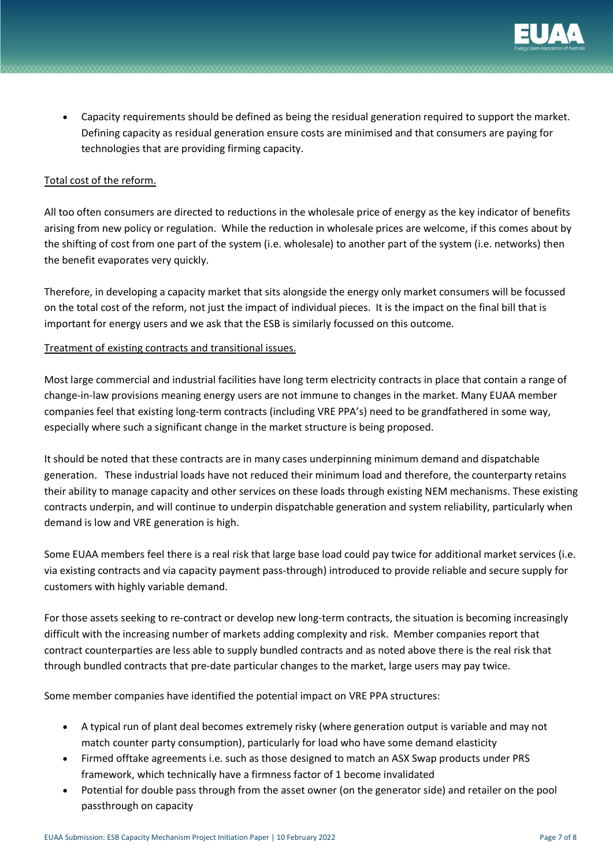

• Capacity requirements should be defined as being the residual generation required to support the market. Defining capacity as residual generation ensure costs are minimised and that consumers are paying for technologies that are providing firming capacity.

## Total cost of the reform.

All too often consumers are directed to reductions in the wholesale price of energy as the key indicator of benefits arising from new policy or regulation. While the reduction in wholesale prices are welcome, if this comes about by the shifting of cost from one part of the system (i.e. wholesale) to another part of the system (i.e. networks) then the benefit evaporates very quickly.

Therefore, in developing a capacity market that sits alongside the energy only market consumers will be focussed on the total cost of the reform, not just the impact of individual pieces. It is the impact on the final bill that is important for energy users and we ask that the ESB is similarly focussed on this outcome.

## Treatment of existing contracts and transitional issues.

Most large commercial and industrial facilities have long term electricity contracts in place that contain a range of change-in-law provisions meaning energy users are not immune to changes in the market. Many EUAA member companies feel that existing long-term contracts (including VRE PPA's) need to be grandfathered in some way, especially where such a significant change in the market structure is being proposed.

It should be noted that these contracts are in many cases underpinning minimum demand and dispatchable generation. These industrial loads have not reduced their minimum load and therefore, the counterparty retains their ability to manage capacity and other services on these loads through existing NEM mechanisms. These existing contracts underpin, and will continue to underpin dispatchable generation and system reliability, particularly when demand is low and VRE generation is high.

Some EUAA members feel there is a real risk that large base load could pay twice for additional market services (i.e. via existing contracts and via capacity payment pass-through) introduced to provide reliable and secure supply for customers with highly variable demand.

For those assets seeking to re-contract or develop new long-term contracts, the situation is becoming increasingly difficult with the increasing number of markets adding complexity and risk. Member companies report that contract counterparties are less able to supply bundled contracts and as noted above there is the real risk that through bundled contracts that pre-date particular changes to the market, large users may pay twice.

Some member companies have identified the potential impact on VRE PPA structures:

- A typical run of plant deal becomes extremely risky (where generation output is variable and may not match counter party consumption), particularly for load who have some demand elasticity
- Firmed offtake agreements i.e. such as those designed to match an ASX Swap products under PRS framework, which technically have a firmness factor of 1 become invalidated
- Potential for double pass through from the asset owner (on the generator side) and retailer on the pool passthrough on capacity